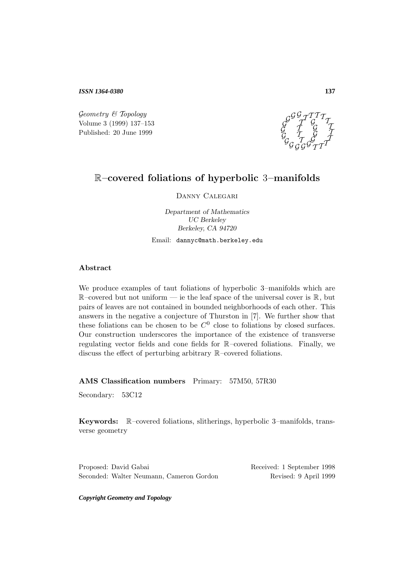*ISSN 1364-0380*

Geometry & Topology<br>
Volume 3 (1999) 137–153 Published: 20 June 1999



# R**–covered foliations of hyperbolic** 3**–manifolds**

Danny Calegari

*Department of Mathematics UC Berkeley Berkeley, CA 94720*

Email: dannyc@math.berkeley.edu

### **Abstract**

We produce examples of taut foliations of hyperbolic 3–manifolds which are  $\mathbb{R}$ -covered but not uniform — ie the leaf space of the universal cover is  $\mathbb{R}$ , but pairs of leaves are not contained in bounded neighborhoods of each other. This answers in the negative a conjecture of Thurston in [7]. We further show that these foliations can be chosen to be  $C^0$  close to foliations by closed surfaces. Our construction underscores the importance of the existence of transverse regulating vector fields and cone fields for R–covered foliations. Finally, we discuss the effect of perturbing arbitrary R–covered foliations.

**AMS Classification numbers** Primary: 57M50, 57R30

Secondary: 53C12

**Keywords:** R–covered foliations, slitherings, hyperbolic 3–manifolds, transverse geometry

Proposed: David Gabai Received: 1 September 1998 Seconded: Walter Neumann, Cameron Gordon Revised: 9 April 1999

*Copyright Geometry and Topology*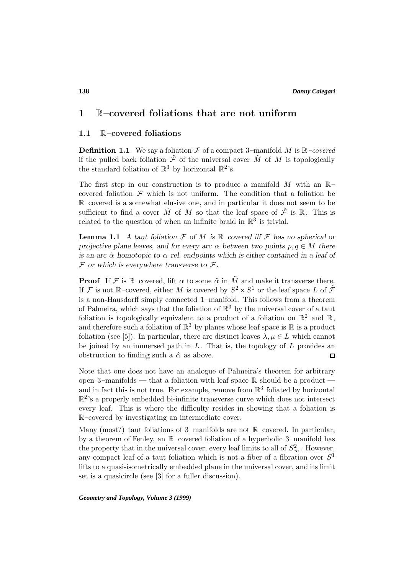# **1** R**–covered foliations that are not uniform**

### **1.1** R**–covered foliations**

**Definition 1.1** We say a foliation  $\mathcal F$  of a compact 3–manifold M is  $\mathbb R$ –covered if the pulled back foliation  $\tilde{\mathcal{F}}$  of the universal cover  $\tilde{M}$  of M is topologically the standard foliation of  $\mathbb{R}^3$  by horizontal  $\mathbb{R}^2$ 's.

The first step in our construction is to produce a manifold M with an  $\mathbb{R}$ covered foliation  $\mathcal F$  which is not uniform. The condition that a foliation be R–covered is a somewhat elusive one, and in particular it does not seem to be sufficient to find a cover  $\hat{M}$  of M so that the leaf space of  $\hat{\mathcal{F}}$  is R. This is related to the question of when an infinite braid in  $\mathbb{R}^3$  is trivial.

**Lemma 1.1** *A taut foliation*  $\mathcal F$  *of*  $M$  *is*  $\mathbb R$ *-covered iff*  $\mathcal F$  *has no spherical or projective plane leaves, and for every arc*  $\alpha$  *between two points*  $p, q \in M$  *there is an arc*  $\hat{\alpha}$  *homotopic to*  $\alpha$  *rel. endpoints which is either contained in a leaf of*  $\mathcal F$  or which is everywhere transverse to  $\mathcal F$ .

**Proof** If F is R–covered, lift  $\alpha$  to some  $\tilde{\alpha}$  in  $\tilde{M}$  and make it transverse there. If F is not R–covered, either M is covered by  $S^2 \times S^1$  or the leaf space L of  $\tilde{\mathcal{F}}$ is a non-Hausdorff simply connected 1–manifold. This follows from a theorem of Palmeira, which says that the foliation of  $\mathbb{R}^3$  by the universal cover of a taut foliation is topologically equivalent to a product of a foliation on  $\mathbb{R}^2$  and  $\mathbb{R}$ , and therefore such a foliation of  $\mathbb{R}^3$  by planes whose leaf space is  $\mathbb R$  is a product foliation (see [5]). In particular, there are distinct leaves  $\lambda, \mu \in L$  which cannot be joined by an immersed path in  $L$ . That is, the topology of  $L$  provides an obstruction to finding such a  $\hat{\alpha}$  as above. 口

Note that one does not have an analogue of Palmeira's theorem for arbitrary open 3–manifolds — that a foliation with leaf space  $\mathbb R$  should be a product and in fact this is not true. For example, remove from  $\mathbb{R}^3$  foliated by horizontal  $\mathbb{R}^2$ 's a properly embedded bi-infinite transverse curve which does not intersect every leaf. This is where the difficulty resides in showing that a foliation is R–covered by investigating an intermediate cover.

Many (most?) taut foliations of 3–manifolds are not R–covered. In particular, by a theorem of Fenley, an R–covered foliation of a hyperbolic 3–manifold has the property that in the universal cover, every leaf limits to all of  $S^2_{\infty}$ . However, any compact leaf of a taut foliation which is not a fiber of a fibration over  $S<sup>1</sup>$ lifts to a quasi-isometrically embedded plane in the universal cover, and its limit set is a quasicircle (see [3] for a fuller discussion).

*Geometry and Topology, Volume 3 (1999)*

### **138**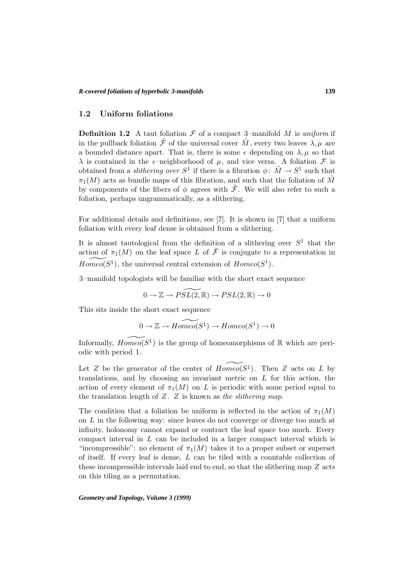### **1.2 Uniform foliations**

**Definition 1.2** A taut foliation  $\mathcal F$  of a compact 3–manifold M is uniform if in the pullback foliation  $\mathcal F$  of the universal cover  $\tilde M$ , every two leaves  $\lambda, \mu$  are a bounded distance apart. That is, there is some  $\epsilon$  depending on  $\lambda, \mu$  so that  $\lambda$  is contained in the  $\epsilon$ -neighborhood of  $\mu$ , and vice versa. A foliation  $\mathcal F$  is obtained from a *slithering over*  $S^1$  if there is a fibration  $\phi: \tilde{M} \to S^1$  such that  $\pi_1(M)$  acts as bundle maps of this fibration, and such that the foliation of  $\tilde{M}$ by components of the fibers of  $\phi$  agrees with  $\tilde{\mathcal{F}}$ . We will also refer to such a foliation, perhaps ungrammatically, as a slithering.

For additional details and definitions, see [7]. It is shown in [7] that a uniform foliation with every leaf dense is obtained from a slithering.

It is almost tautological from the definition of a slithering over  $S<sup>1</sup>$  that the action of  $\pi_1(M)$  on the leaf space L of  $\tilde{\mathcal{F}}$  is conjugate to a representation in  $Homeo(S^1)$ , the universal central extension of  $Homeo(S^1)$ .

3–manifold topologists will be familiar with the short exact sequence

$$
0 \to \mathbb{Z} \to \widetilde{PSL(2,\mathbb{R})} \to PSL(2,\mathbb{R}) \to 0
$$

This sits inside the short exact sequence

$$
0 \to \mathbb{Z} \to \widetilde{Homeo}(S^1) \to \widetilde{Homeo}(S^1) \to 0
$$

Informally,  $Hom\widetilde{co}(S^1)$  is the group of homeomorphisms of R which are periodic with period 1.

Let Z be the generator of the center of  $Homeo(S^1)$ . Then Z acts on L by translations, and by choosing an invariant metric on  $L$  for this action, the action of every element of  $\pi_1(M)$  on L is periodic with some period equal to the translation length of  $Z$ .  $Z$  is known as the slithering map.

The condition that a foliation be uniform is reflected in the action of  $\pi_1(M)$ on L in the following way: since leaves do not converge or diverge too much at infinity, holonomy cannot expand or contract the leaf space too much. Every compact interval in  $L$  can be included in a larger compact interval which is "incompressible": no element of  $\pi_1(M)$  takes it to a proper subset or superset of itself. If every leaf is dense,  $L$  can be tiled with a countable collection of these incompressible intervals laid end to end, so that the slithering map  $Z$  acts on this tiling as a permutation.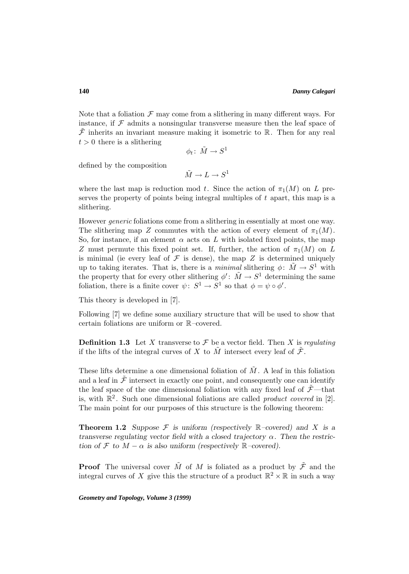Note that a foliation  $\mathcal F$  may come from a slithering in many different ways. For instance, if  $\mathcal F$  admits a nonsingular transverse measure then the leaf space of  $\mathcal F$  inherits an invariant measure making it isometric to R. Then for any real  $t > 0$  there is a slithering

$$
\phi_t\colon\thinspace \tilde M\to S^1
$$

defined by the composition

$$
\tilde{M} \to L \to S^1
$$

where the last map is reduction mod t. Since the action of  $\pi_1(M)$  on L preserves the property of points being integral multiples of  $t$  apart, this map is a slithering.

However *generic* foliations come from a slithering in essentially at most one way. The slithering map Z commutes with the action of every element of  $\pi_1(M)$ . So, for instance, if an element  $\alpha$  acts on L with isolated fixed points, the map Z must permute this fixed point set. If, further, the action of  $\pi_1(M)$  on L is minimal (ie every leaf of  $\mathcal F$  is dense), the map  $Z$  is determined uniquely up to taking iterates. That is, there is a *minimal* slithering  $\phi: \tilde{M} \to S^1$  with the property that for every other slithering  $\phi' : \tilde{M} \to S^1$  determining the same foliation, there is a finite cover  $\psi: S^1 \to S^1$  so that  $\phi = \psi \circ \phi'$ .

This theory is developed in [7].

Following [7] we define some auxiliary structure that will be used to show that certain foliations are uniform or R–covered.

**Definition 1.3** Let X transverse to  $\mathcal F$  be a vector field. Then X is regulating if the lifts of the integral curves of X to  $\tilde{M}$  intersect every leaf of  $\tilde{\mathcal{F}}$ .

These lifts determine a one dimensional foliation of  $\tilde{M}$ . A leaf in this foliation and a leaf in  $\tilde{\mathcal{F}}$  intersect in exactly one point, and consequently one can identify the leaf space of the one dimensional foliation with any fixed leaf of  $\tilde{\mathcal{F}}$ —that is, with  $\mathbb{R}^2$ . Such one dimensional foliations are called *product covered* in [2]. The main point for our purposes of this structure is the following theorem:

**Theorem 1.2** *Suppose*  $\mathcal F$  *is uniform (respectively*  $\mathbb R$ –covered) and X *is a transverse regulating vector field with a closed trajectory* α*. Then the restriction of*  $\mathcal F$  *to*  $M - \alpha$  *is also uniform (respectively*  $\mathbb R$ *–covered).* 

**Proof** The universal cover  $\tilde{M}$  of M is foliated as a product by  $\tilde{\mathcal{F}}$  and the integral curves of X give this the structure of a product  $\mathbb{R}^2 \times \mathbb{R}$  in such a way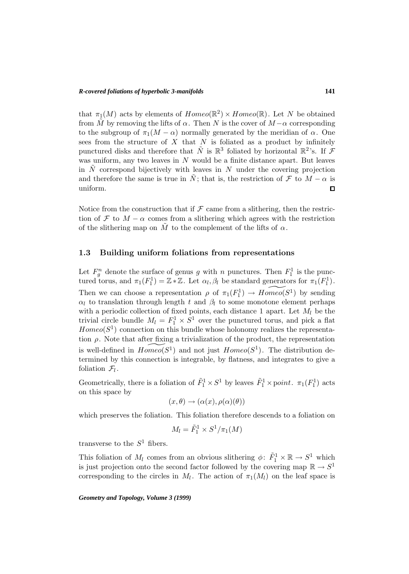that  $\pi_1(M)$  acts by elements of  $Homeo(\mathbb{R}^2) \times Homeo(\mathbb{R})$ . Let N be obtained from M by removing the lifts of  $\alpha$ . Then N is the cover of  $M-\alpha$  corresponding to the subgroup of  $\pi_1(M - \alpha)$  normally generated by the meridian of  $\alpha$ . One sees from the structure of  $X$  that  $N$  is foliated as a product by infinitely punctured disks and therefore that  $\tilde{N}$  is  $\mathbb{R}^{3}$  foliated by horizontal  $\mathbb{R}^{2}$ 's. If  $\mathcal{F}$ was uniform, any two leaves in  $N$  would be a finite distance apart. But leaves in  $\tilde{N}$  correspond bijectively with leaves in N under the covering projection and therefore the same is true in  $\tilde{N}$ ; that is, the restriction of  $\mathcal F$  to  $M - \alpha$  is uniform. uniform.

Notice from the construction that if  $\mathcal F$  came from a slithering, then the restriction of  $\mathcal F$  to  $M - \alpha$  comes from a slithering which agrees with the restriction of the slithering map on M to the complement of the lifts of  $\alpha$ .

### **1.3 Building uniform foliations from representations**

Let  $F_g^n$  denote the surface of genus g with n punctures. Then  $F_1^1$  is the punctured torus, and  $\pi_1(F_1^1) = \mathbb{Z} * \mathbb{Z}$ . Let  $\alpha_l, \beta_l$  be standard generators for  $\pi_1(F_1^1)$ . Then we can choose a representation  $\rho$  of  $\pi_1(F_1^1) \to Homeo(S^1)$  by sending  $\alpha_l$  to translation through length t and  $\beta_l$  to some monotone element perhaps with a periodic collection of fixed points, each distance 1 apart. Let  $M_l$  be the trivial circle bundle  $M_l = F_1^1 \times S^1$  over the punctured torus, and pick a flat  $Homeo(S^1)$  connection on this bundle whose holonomy realizes the representation  $\rho$ . Note that after fixing a trivialization of the product, the representation is well-defined in  $Homeo(S^1)$  and not just  $Homeo(S^1)$ . The distribution determined by this connection is integrable, by flatness, and integrates to give a foliation  $\mathcal{F}_l$ .

Geometrically, there is a foliation of  $\tilde{F}_1^1 \times S^1$  by leaves  $\tilde{F}_1^1 \times \text{point.}$   $\pi_1(F_1^1)$  acts on this space by

$$
(x,\theta)\to(\alpha(x),\rho(\alpha)(\theta))
$$

which preserves the foliation. This foliation therefore descends to a foliation on

$$
M_l = \tilde{F}_1^1 \times S^1/\pi_1(M)
$$

transverse to the  $S^1$  fibers.

This foliation of  $M_l$  comes from an obvious slithering  $\phi: \tilde{F}_1^1 \times \mathbb{R} \to S^1$  which is just projection onto the second factor followed by the covering map  $\mathbb{R} \to S^1$ corresponding to the circles in  $M_l$ . The action of  $\pi_1(M_l)$  on the leaf space is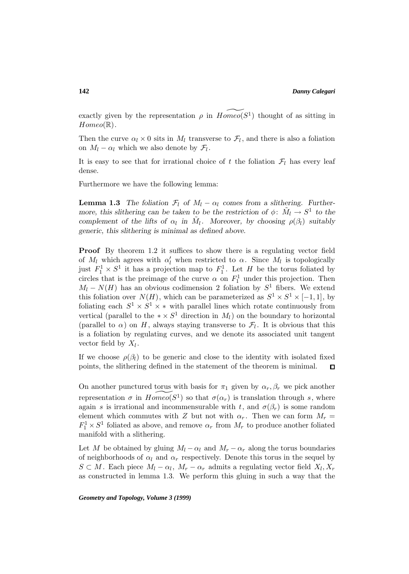exactly given by the representation  $\rho$  in  $Homeo(S^1)$  thought of as sitting in  $Homeo(\mathbb{R})$ .

Then the curve  $\alpha_l \times 0$  sits in  $M_l$  transverse to  $\mathcal{F}_l$ , and there is also a foliation on  $M_l - \alpha_l$  which we also denote by  $\mathcal{F}_l$ .

It is easy to see that for irrational choice of t the foliation  $\mathcal{F}_l$  has every leaf dense.

Furthermore we have the following lemma:

**Lemma 1.3** *The foliation*  $\mathcal{F}_l$  *of*  $M_l - \alpha_l$  *comes from a slithering. Furthermore, this slithering can be taken to be the restriction of*  $\phi$ :  $\tilde{M}_l \rightarrow S^1$  *to the complement of the lifts of*  $\alpha_l$  *in*  $\tilde{M}_l$ *. Moreover, by choosing*  $\rho(\beta_l)$  *suitably generic, this slithering is minimal as defined above.*

**Proof** By theorem 1.2 it suffices to show there is a regulating vector field of  $M_l$  which agrees with  $\alpha'_l$  when restricted to  $\alpha$ . Since  $M_l$  is topologically just  $F_1^1 \times S^1$  it has a projection map to  $F_1^1$ . Let H be the torus foliated by circles that is the preimage of the curve  $\alpha$  on  $F_1^1$  under this projection. Then  $M_l - N(H)$  has an obvious codimension 2 foliation by  $S^1$  fibers. We extend this foliation over  $N(H)$ , which can be parameterized as  $S^1 \times S^1 \times [-1,1]$ , by foliating each  $S^1 \times S^1 \times *$  with parallel lines which rotate continuously from vertical (parallel to the  $* \times S^1$  direction in  $M_l$ ) on the boundary to horizontal (parallel to  $\alpha$ ) on H, always staying transverse to  $\mathcal{F}_l$ . It is obvious that this is a foliation by regulating curves, and we denote its associated unit tangent vector field by  $X_l$ .

If we choose  $\rho(\beta_l)$  to be generic and close to the identity with isolated fixed points, the slithering defined in the statement of the theorem is minimal.  $\Box$ 

On another punctured torus with basis for  $\pi_1$  given by  $\alpha_r, \beta_r$  we pick another representation  $\sigma$  in  $Homeo(S^1)$  so that  $\sigma(\alpha_r)$  is translation through s, where again s is irrational and incommensurable with t, and  $\sigma(\beta_r)$  is some random element which commutes with Z but not with  $\alpha_r$ . Then we can form  $M_r =$  $F_1^1 \times S^1$  foliated as above, and remove  $\alpha_r$  from  $M_r$  to produce another foliated manifold with a slithering.

Let M be obtained by gluing  $M_l - \alpha_l$  and  $M_r - \alpha_r$  along the torus boundaries of neighborhoods of  $\alpha_l$  and  $\alpha_r$  respectively. Denote this torus in the sequel by  $S \subset M$ . Each piece  $M_l - \alpha_l$ ,  $M_r - \alpha_r$  admits a regulating vector field  $X_l, X_r$ as constructed in lemma 1.3. We perform this gluing in such a way that the

*Geometry and Topology, Volume 3 (1999)*

#### **142**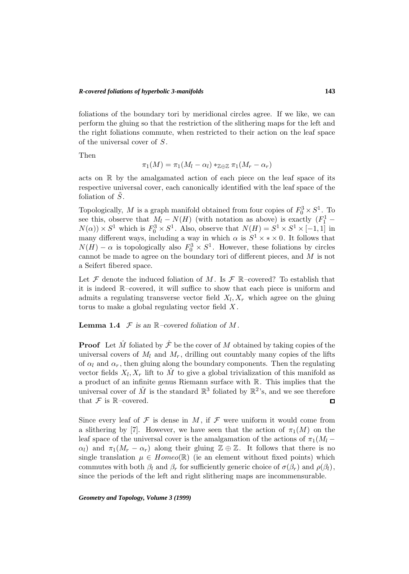#### *R-covered foliations of hyperbolic 3-manifolds*

foliations of the boundary tori by meridional circles agree. If we like, we can perform the gluing so that the restriction of the slithering maps for the left and the right foliations commute, when restricted to their action on the leaf space of the universal cover of S.

Then

$$
\pi_1(M) = \pi_1(M_l - \alpha_l) *_{\mathbb{Z} \oplus \mathbb{Z}} \pi_1(M_r - \alpha_r)
$$

acts on R by the amalgamated action of each piece on the leaf space of its respective universal cover, each canonically identified with the leaf space of the foliation of  $S$ .

Topologically, M is a graph manifold obtained from four copies of  $F_0^3 \times S^1$ . To see this, observe that  $M_l - N(H)$  (with notation as above) is exactly  $(F_1^1 N(\alpha)$  ×  $S^1$  which is  $F_0^3 \times S^1$ . Also, observe that  $N(H) = S^1 \times S^1 \times [-1,1]$  in many different ways, including a way in which  $\alpha$  is  $S^1 \times * \times 0$ . It follows that  $N(H) - \alpha$  is topologically also  $F_0^3 \times S^1$ . However, these foliations by circles cannot be made to agree on the boundary tori of different pieces, and M is not a Seifert fibered space.

Let  $\mathcal F$  denote the induced foliation of M. Is  $\mathcal F$  R-covered? To establish that it is indeed R–covered, it will suffice to show that each piece is uniform and admits a regulating transverse vector field  $X_l, X_r$  which agree on the gluing torus to make a global regulating vector field  $X$ .

### **Lemma 1.4**  $\mathcal F$  *is an*  $\mathbb R$ *–covered foliation of*  $M$ *.*

**Proof** Let  $\hat{M}$  foliated by  $\hat{\mathcal{F}}$  be the cover of M obtained by taking copies of the universal covers of  $M_l$  and  $M_r$ , drilling out countably many copies of the lifts of  $\alpha_l$  and  $\alpha_r$ , then gluing along the boundary components. Then the regulating vector fields  $X_l, X_r$  lift to  $\tilde{M}$  to give a global trivialization of this manifold as a product of an infinite genus Riemann surface with R. This implies that the universal cover of  $\hat{M}$  is the standard  $\mathbb{R}^3$  foliated by  $\mathbb{R}^2$ 's, and we see therefore that  $\mathcal F$  is R-covered.  $\Box$ 

Since every leaf of  $\mathcal F$  is dense in  $M$ , if  $\mathcal F$  were uniform it would come from a slithering by [7]. However, we have seen that the action of  $\pi_1(M)$  on the leaf space of the universal cover is the amalgamation of the actions of  $\pi_1(M_l - )$  $\alpha_l$ ) and  $\pi_1(M_r - \alpha_r)$  along their gluing  $\mathbb{Z} \oplus \mathbb{Z}$ . It follows that there is no single translation  $\mu \in Homeo(\mathbb{R})$  (ie an element without fixed points) which commutes with both  $\beta_l$  and  $\beta_r$  for sufficiently generic choice of  $\sigma(\beta_r)$  and  $\rho(\beta_l)$ , since the periods of the left and right slithering maps are incommensurable.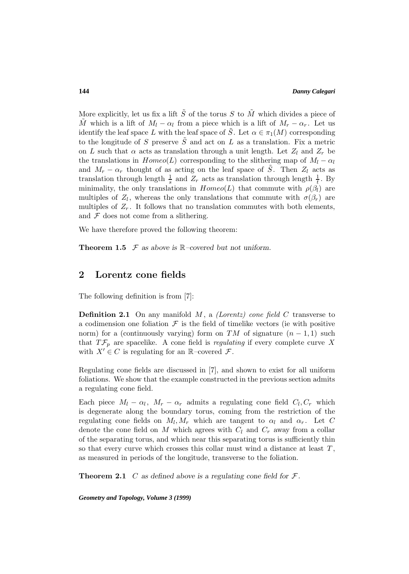More explicitly, let us fix a lift  $\tilde{S}$  of the torus S to  $\tilde{M}$  which divides a piece of  $\tilde{M}$  which is a lift of  $M_l - \alpha_l$  from a piece which is a lift of  $M_r - \alpha_r$ . Let us identify the leaf space L with the leaf space of  $\tilde{S}$ . Let  $\alpha \in \pi_1(M)$  corresponding to the longitude of S preserve  $\tilde{S}$  and act on L as a translation. Fix a metric on L such that  $\alpha$  acts as translation through a unit length. Let  $Z_l$  and  $Z_r$  be the translations in  $Homeo(L)$  corresponding to the slithering map of  $M_l - \alpha_l$ and  $M_r - \alpha_r$  thought of as acting on the leaf space of  $\tilde{S}$ . Then  $Z_l$  acts as translation through length  $\frac{1}{s}$  and  $Z_r$  acts as translation through length  $\frac{1}{t}$ . By minimality, the only translations in  $Homeo(L)$  that commute with  $\rho(\beta_l)$  are multiples of  $Z_l$ , whereas the only translations that commute with  $\sigma(\beta_r)$  are multiples of  $Z_r$ . It follows that no translation commutes with both elements, and  $\mathcal F$  does not come from a slithering.

We have therefore proved the following theorem:

**Theorem 1.5**  $\mathcal F$  *as above is*  $\mathbb R$ *–covered but not uniform.* 

## **2 Lorentz cone fields**

The following definition is from [7]:

**Definition 2.1** On any manifold  $M$ , a *(Lorentz)* cone field  $C$  transverse to a codimension one foliation  $\mathcal F$  is the field of timelike vectors (ie with positive norm) for a (continuously varying) form on TM of signature  $(n-1,1)$  such that  $T\mathcal{F}_p$  are spacelike. A cone field is *regulating* if every complete curve X with  $X' \in C$  is regulating for an R–covered  $\mathcal{F}$ .

Regulating cone fields are discussed in [7], and shown to exist for all uniform foliations. We show that the example constructed in the previous section admits a regulating cone field.

Each piece  $M_l - \alpha_l$ ,  $M_r - \alpha_r$  admits a regulating cone field  $C_l, C_r$  which is degenerate along the boundary torus, coming from the restriction of the regulating cone fields on  $M_l, M_r$  which are tangent to  $\alpha_l$  and  $\alpha_r$ . Let C denote the cone field on M which agrees with  $C_l$  and  $C_r$  away from a collar of the separating torus, and which near this separating torus is sufficiently thin so that every curve which crosses this collar must wind a distance at least  $T$ , as measured in periods of the longitude, transverse to the foliation.

**Theorem 2.1** C as defined above is a regulating cone field for  $\mathcal{F}$ .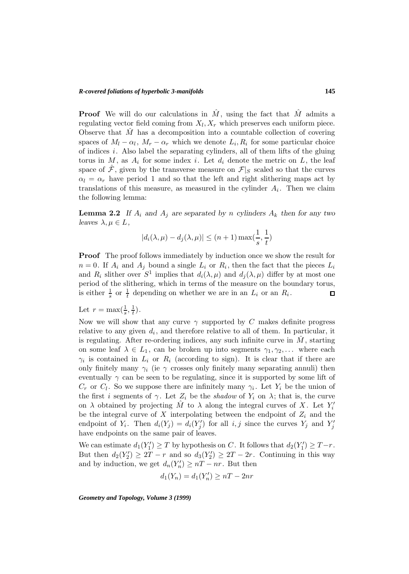**Proof** We will do our calculations in  $\hat{M}$ , using the fact that  $\hat{M}$  admits a regulating vector field coming from  $X_l, X_r$  which preserves each uniform piece. Observe that  $\hat{M}$  has a decomposition into a countable collection of covering spaces of  $M_l - \alpha_l$ ,  $M_r - \alpha_r$  which we denote  $L_i, R_i$  for some particular choice of indices  $i$ . Also label the separating cylinders, all of them lifts of the gluing torus in  $M$ , as  $A_i$  for some index i. Let  $d_i$  denote the metric on  $L$ , the leaf space of  $\mathcal{F}$ , given by the transverse measure on  $\mathcal{F}|_S$  scaled so that the curves  $\alpha_l = \alpha_r$  have period 1 and so that the left and right slithering maps act by translations of this measure, as measured in the cylinder  $A_i$ . Then we claim the following lemma:

**Lemma 2.2** If  $A_i$  and  $A_j$  are separated by n *cylinders*  $A_k$  then for any two *leaves*  $\lambda, \mu \in L$ ,

$$
|d_i(\lambda, \mu) - d_j(\lambda, \mu)| \le (n+1) \max(\frac{1}{s}, \frac{1}{t})
$$

**Proof** The proof follows immediately by induction once we show the result for  $n = 0$ . If  $A_i$  and  $A_j$  bound a single  $L_i$  or  $R_i$ , then the fact that the pieces  $L_i$ and  $R_i$  slither over  $S^1$  implies that  $d_i(\lambda, \mu)$  and  $d_j(\lambda, \mu)$  differ by at most one period of the slithering, which in terms of the measure on the boundary torus, is either  $\frac{1}{s}$  or  $\frac{1}{t}$  depending on whether we are in an  $L_i$  or an  $R_i$ .  $\Box$ 

Let  $r = \max(\frac{1}{s}, \frac{1}{t}).$ 

Now we will show that any curve  $\gamma$  supported by C makes definite progress relative to any given  $d_i$ , and therefore relative to all of them. In particular, it is regulating. After re-ordering indices, any such infinite curve in  $M$ , starting on some leaf  $\lambda \in L_1$ , can be broken up into segments  $\gamma_1, \gamma_2, \ldots$  where each  $\gamma_i$  is contained in  $L_i$  or  $R_i$  (according to sign). It is clear that if there are only finitely many  $\gamma_i$  (ie  $\gamma$  crosses only finitely many separating annuli) then eventually  $\gamma$  can be seen to be regulating, since it is supported by some lift of  $C_r$  or  $C_l$ . So we suppose there are infinitely many  $\gamma_i$ . Let  $Y_i$  be the union of the first i segments of  $\gamma$ . Let  $Z_i$  be the shadow of  $Y_i$  on  $\lambda$ ; that is, the curve on  $\lambda$  obtained by projecting  $\hat{M}$  to  $\lambda$  along the integral curves of X. Let  $Y_i'$ be the integral curve of X interpolating between the endpoint of  $Z_i$  and the endpoint of  $Y_i$ . Then  $d_i(Y_j) = d_i(Y'_j)$  for all  $i, j$  since the curves  $Y_j$  and  $Y'_j$ have endpoints on the same pair of leaves.

We can estimate  $d_1(Y'_1) \geq T$  by hypothesis on C. It follows that  $d_2(Y'_1) \geq T-r$ . But then  $d_2(Y_2') \geq 2T - r$  and so  $d_3(Y_2') \geq 2T - 2r$ . Continuing in this way and by induction, we get  $d_n(Y'_n) \geq nT - nr$ . But then

$$
d_1(Y_n) = d_1(Y'_n) \ge nT - 2nr
$$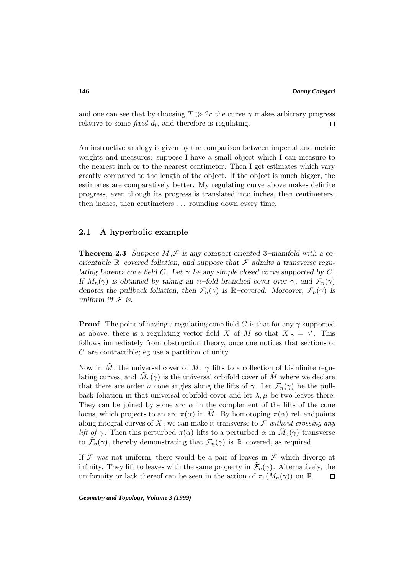and one can see that by choosing  $T \gg 2r$  the curve  $\gamma$  makes arbitrary progress relative to some *fixed*  $d_i$ , and therefore is regulating. relative to some fixed  $d_i$ , and therefore is regulating.

An instructive analogy is given by the comparison between imperial and metric weights and measures: suppose I have a small object which I can measure to the nearest inch or to the nearest centimeter. Then I get estimates which vary greatly compared to the length of the object. If the object is much bigger, the estimates are comparatively better. My regulating curve above makes definite progress, even though its progress is translated into inches, then centimeters, then inches, then centimeters ... rounding down every time.

### **2.1 A hyperbolic example**

**Theorem 2.3** *Suppose*  $M, \mathcal{F}$  *is any compact oriented* 3–*manifold with a coorientable* R*–covered foliation, and suppose that* F *admits a transverse regulating Lorentz cone field*  $C$ *. Let*  $\gamma$  *be any simple closed curve supported by*  $C$ *. If*  $M_n(\gamma)$  *is obtained by taking an n–fold branched cover over*  $\gamma$ *, and*  $\mathcal{F}_n(\gamma)$ *denotes the pullback foliation, then*  $\mathcal{F}_n(\gamma)$  *is* R–covered. Moreover,  $\mathcal{F}_n(\gamma)$  *is uniform iff*  $\mathcal F$  *is.* 

**Proof** The point of having a regulating cone field C is that for any  $\gamma$  supported as above, there is a regulating vector field X of M so that  $X|_{\gamma} = \gamma'$ . This follows immediately from obstruction theory, once one notices that sections of C are contractible; eg use a partition of unity.

Now in M, the universal cover of M,  $\gamma$  lifts to a collection of bi-infinite regulating curves, and  $M_n(\gamma)$  is the universal orbifold cover of M where we declare that there are order n cone angles along the lifts of  $\gamma$ . Let  $\mathcal{F}_n(\gamma)$  be the pullback foliation in that universal orbifold cover and let  $\lambda, \mu$  be two leaves there. They can be joined by some arc  $\alpha$  in the complement of the lifts of the cone locus, which projects to an arc  $\pi(\alpha)$  in  $\tilde{M}$ . By homotoping  $\pi(\alpha)$  rel. endpoints along integral curves of X, we can make it transverse to  $\tilde{\mathcal{F}}$  without crossing any *lift of*  $\gamma$ . Then this perturbed  $\pi(\alpha)$  lifts to a perturbed  $\alpha$  in  $\tilde{M}_n(\gamma)$  transverse to  $\mathcal{F}_n(\gamma)$ , thereby demonstrating that  $\mathcal{F}_n(\gamma)$  is R-covered, as required.

If  $\mathcal F$  was not uniform, there would be a pair of leaves in  $\tilde{\mathcal F}$  which diverge at infinity. They lift to leaves with the same property in  $\tilde{\mathcal{F}}_n(\gamma)$ . Alternatively, the uniformity or lack thereof can be seen in the action of  $\pi_1(M_n(\gamma))$  on  $\mathbb R$ .  $\Box$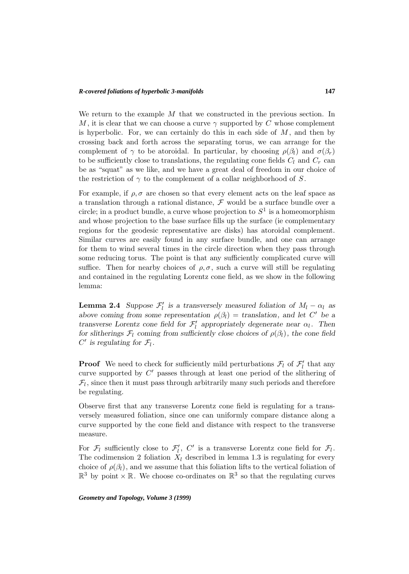We return to the example  $M$  that we constructed in the previous section. In M, it is clear that we can choose a curve  $\gamma$  supported by C whose complement is hyperbolic. For, we can certainly do this in each side of  $M$ , and then by crossing back and forth across the separating torus, we can arrange for the complement of  $\gamma$  to be atoroidal. In particular, by choosing  $\rho(\beta_l)$  and  $\sigma(\beta_r)$ to be sufficiently close to translations, the regulating cone fields  $C_l$  and  $C_r$  can be as "squat" as we like, and we have a great deal of freedom in our choice of the restriction of  $\gamma$  to the complement of a collar neighborhood of S.

For example, if  $\rho$ ,  $\sigma$  are chosen so that every element acts on the leaf space as a translation through a rational distance,  $\mathcal F$  would be a surface bundle over a circle; in a product bundle, a curve whose projection to  $S^1$  is a homeomorphism and whose projection to the base surface fills up the surface (ie complementary regions for the geodesic representative are disks) has atoroidal complement. Similar curves are easily found in any surface bundle, and one can arrange for them to wind several times in the circle direction when they pass through some reducing torus. The point is that any sufficiently complicated curve will suffice. Then for nearby choices of  $\rho$ ,  $\sigma$ , such a curve will still be regulating and contained in the regulating Lorentz cone field, as we show in the following lemma:

**Lemma 2.4** *Suppose*  $\mathcal{F}'_l$  *is a transversely measured foliation of*  $M_l - \alpha_l$  *as above coming from some representation*  $\rho(\beta_l) =$  *translation, and let* C' *be a transverse Lorentz cone field for*  $\mathcal{F}'_l$  *appropriately degenerate near*  $\alpha_l$ *. Then for slitherings*  $\mathcal{F}_l$  *coming from sufficiently close choices of*  $\rho(\beta_l)$ *, the cone field*  $C'$  is regulating for  $\mathcal{F}_l$ .

**Proof** We need to check for sufficiently mild perturbations  $\mathcal{F}_l$  of  $\mathcal{F}'_l$  that any curve supported by  $C'$  passes through at least one period of the slithering of  $\mathcal{F}_l$ , since then it must pass through arbitrarily many such periods and therefore be regulating.

Observe first that any transverse Lorentz cone field is regulating for a transversely measured foliation, since one can uniformly compare distance along a curve supported by the cone field and distance with respect to the transverse measure.

For  $\mathcal{F}_l$  sufficiently close to  $\mathcal{F}'_l$ ,  $C'$  is a transverse Lorentz cone field for  $\mathcal{F}_l$ . The codimension 2 foliation  $X_l$  described in lemma 1.3 is regulating for every choice of  $\rho(\beta_l)$ , and we assume that this foliation lifts to the vertical foliation of  $\mathbb{R}^3$  by point  $\times \mathbb{R}$ . We choose co-ordinates on  $\mathbb{R}^3$  so that the regulating curves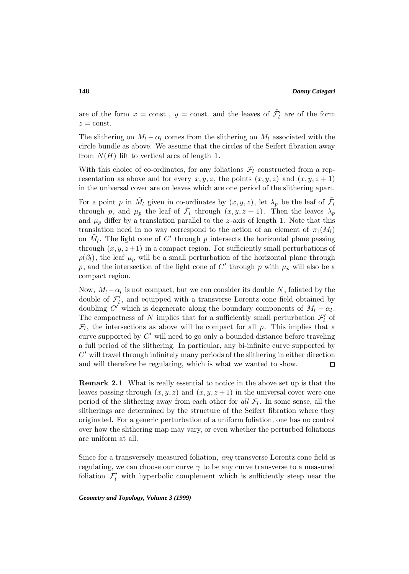are of the form  $x = \text{const.}$ ,  $y = \text{const.}$  and the leaves of  $\tilde{\mathcal{F}}'_{l}$  are of the form  $z = \text{const.}$ 

The slithering on  $M_l - \alpha_l$  comes from the slithering on  $M_l$  associated with the circle bundle as above. We assume that the circles of the Seifert fibration away from  $N(H)$  lift to vertical arcs of length 1.

With this choice of co-ordinates, for any foliations  $\mathcal{F}_l$  constructed from a representation as above and for every  $x, y, z$ , the points  $(x, y, z)$  and  $(x, y, z + 1)$ in the universal cover are on leaves which are one period of the slithering apart.

For a point p in  $M_l$  given in co-ordinates by  $(x, y, z)$ , let  $\lambda_p$  be the leaf of  $\mathcal{F}_l$ through p, and  $\mu_p$  the leaf of  $\tilde{\mathcal{F}}_l$  through  $(x, y, z + 1)$ . Then the leaves  $\lambda_p$ and  $\mu_p$  differ by a translation parallel to the z-axis of length 1. Note that this translation need in no way correspond to the action of an element of  $\pi_1(M_l)$ on  $M_l$ . The light cone of C' through p intersects the horizontal plane passing through  $(x, y, z+1)$  in a compact region. For sufficiently small perturbations of  $\rho(\beta_l)$ , the leaf  $\mu_p$  will be a small perturbation of the horizontal plane through p, and the intersection of the light cone of  $C'$  through p with  $\mu_p$  will also be a compact region.

Now,  $M_l - \alpha_l$  is not compact, but we can consider its double N, foliated by the double of  $\mathcal{F}'_l$ , and equipped with a transverse Lorentz cone field obtained by doubling C' which is degenerate along the boundary components of  $M_l - \alpha_l$ . The compactness of N implies that for a sufficiently small perturbation  $\mathcal{F}'_l$  of  $\mathcal{F}_l$ , the intersections as above will be compact for all p. This implies that a curve supported by  $C'$  will need to go only a bounded distance before traveling a full period of the slithering. In particular, any bi-infinite curve supported by  $C'$  will travel through infinitely many periods of the slithering in either direction and will therefore be regulating, which is what we wanted to show.  $\Box$ 

**Remark 2.1** What is really essential to notice in the above set up is that the leaves passing through  $(x, y, z)$  and  $(x, y, z + 1)$  in the universal cover were one period of the slithering away from each other for all  $\mathcal{F}_l$ . In some sense, all the slitherings are determined by the structure of the Seifert fibration where they originated. For a generic perturbation of a uniform foliation, one has no control over how the slithering map may vary, or even whether the perturbed foliations are uniform at all.

Since for a transversely measured foliation, any transverse Lorentz cone field is regulating, we can choose our curve  $\gamma$  to be any curve transverse to a measured foliation  $\mathcal{F}'_l$  with hyperbolic complement which is sufficiently steep near the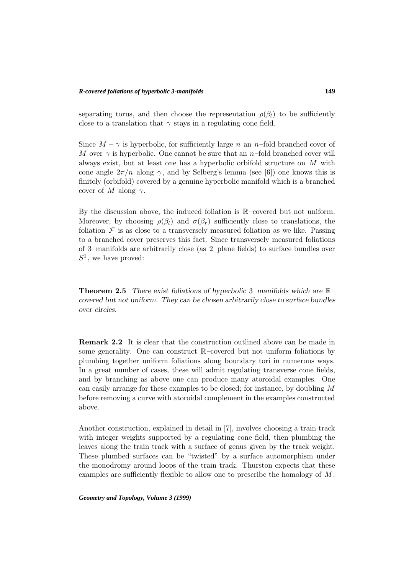separating torus, and then choose the representation  $\rho(\beta_l)$  to be sufficiently close to a translation that  $\gamma$  stays in a regulating cone field.

Since  $M - \gamma$  is hyperbolic, for sufficiently large n an n–fold branched cover of M over  $\gamma$  is hyperbolic. One cannot be sure that an n–fold branched cover will always exist, but at least one has a hyperbolic orbifold structure on M with cone angle  $2\pi/n$  along  $\gamma$ , and by Selberg's lemma (see [6]) one knows this is finitely (orbifold) covered by a genuine hyperbolic manifold which is a branched cover of M along  $\gamma$ .

By the discussion above, the induced foliation is  $\mathbb{R}$ –covered but not uniform. Moreover, by choosing  $\rho(\beta_l)$  and  $\sigma(\beta_r)$  sufficiently close to translations, the foliation  $\mathcal F$  is as close to a transversely measured foliation as we like. Passing to a branched cover preserves this fact. Since transversely measured foliations of 3–manifolds are arbitrarily close (as 2–plane fields) to surface bundles over  $S^1$ , we have proved:

**Theorem 2.5** *There exist foliations of hyperbolic* 3*–manifolds which are* R*– covered but not uniform. They can be chosen arbitrarily close to surface bundles over circles.*

**Remark 2.2** It is clear that the construction outlined above can be made in some generality. One can construct R–covered but not uniform foliations by plumbing together uniform foliations along boundary tori in numerous ways. In a great number of cases, these will admit regulating transverse cone fields, and by branching as above one can produce many atoroidal examples. One can easily arrange for these examples to be closed; for instance, by doubling M before removing a curve with atoroidal complement in the examples constructed above.

Another construction, explained in detail in [7], involves choosing a train track with integer weights supported by a regulating cone field, then plumbing the leaves along the train track with a surface of genus given by the track weight. These plumbed surfaces can be "twisted" by a surface automorphism under the monodromy around loops of the train track. Thurston expects that these examples are sufficiently flexible to allow one to prescribe the homology of M .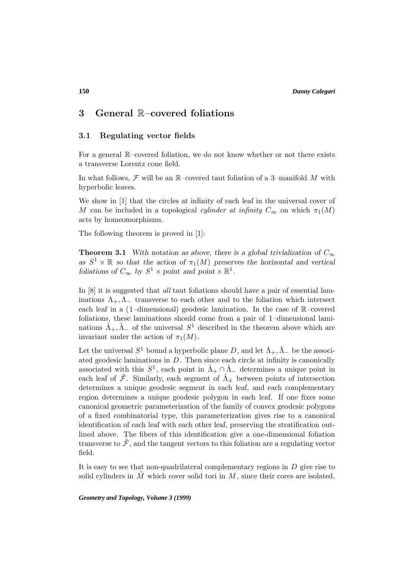# **3 General** R**–covered foliations**

### **3.1 Regulating vector fields**

For a general R–covered foliation, we do not know whether or not there exists a transverse Lorentz cone field.

In what follows,  $\mathcal F$  will be an R–covered taut foliation of a 3–manifold M with hyperbolic leaves.

We show in [1] that the circles at infinity of each leaf in the universal cover of M can be included in a topological *cylinder at infinity*  $C_{\infty}$  on which  $\pi_1(M)$ acts by homeomorphisms.

The following theorem is proved in [1]:

**Theorem 3.1** *With notation as above, there is a global trivialization of*  $C_{\infty}$ as  $S^1 \times \mathbb{R}$  *so that the action of*  $\pi_1(M)$  *preserves the horizontal and vertical foliations of*  $C_{\infty}$  *by*  $S^1 \times \text{point}$  *and*  $\text{point} \times \mathbb{R}^1$ *.* 

In [8] it is suggested that all taut foliations should have a pair of essential laminations  $\Lambda_+,\Lambda_-$  transverse to each other and to the foliation which intersect each leaf in a (1–dimensional) geodesic lamination. In the case of R–covered foliations, these laminations should come from a pair of 1–dimensional laminations  $\hat{\Lambda}_+$ ,  $\hat{\Lambda}_-$  of the universal  $S^1$  described in the theorem above which are invariant under the action of  $\pi_1(M)$ .

Let the universal  $S^1$  bound a hyperbolic plane D, and let  $\hat{\Lambda}_+$ ,  $\hat{\Lambda}_-$  be the associated geodesic laminations in  $D$ . Then since each circle at infinity is canonically associated with this  $S^1$ , each point in  $\hat{\Lambda}_+ \cap \hat{\Lambda}_-$  determines a unique point in each leaf of  $\mathcal{F}$ . Similarly, each segment of  $\hat{\Lambda}_{\pm}$  between points of intersection determines a unique geodesic segment in each leaf, and each complementary region determines a unique geodesic polygon in each leaf. If one fixes some canonical geometric parameterization of the family of convex geodesic polygons of a fixed combinatorial type, this parameterization gives rise to a canonical identification of each leaf with each other leaf, preserving the stratification outlined above. The fibers of this identification give a one-dimensional foliation transverse to  $\tilde{\mathcal{F}}$ , and the tangent vectors to this foliation are a regulating vector field.

It is easy to see that non-quadrilateral complementary regions in  $D$  give rise to solid cylinders in  $M$  which cover solid tori in  $M$ , since their cores are isolated.

*Geometry and Topology, Volume 3 (1999)*

**150**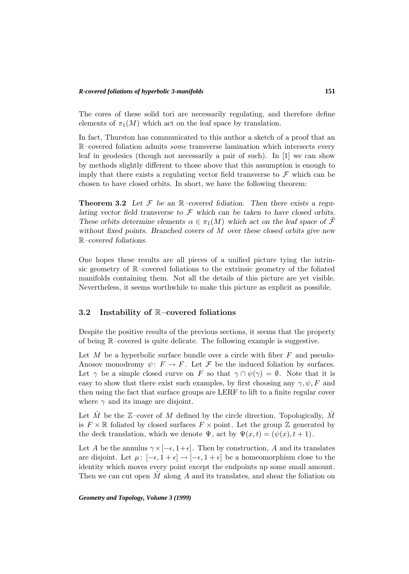The cores of these solid tori are necessarily regulating, and therefore define elements of  $\pi_1(M)$  which act on the leaf space by translation.

In fact, Thurston has communicated to this author a sketch of a proof that an R–covered foliation admits some transverse lamination which intersects every leaf in geodesics (though not necessarily a pair of such). In [1] we can show by methods slightly different to those above that this assumption is enough to imply that there exists a regulating vector field transverse to  $\mathcal F$  which can be chosen to have closed orbits. In short, we have the following theorem:

**Theorem 3.2** Let  $\mathcal F$  be an  $\mathbb R$ -covered foliation. Then there exists a regu*lating vector field transverse to* F *which can be taken to have closed orbits. These orbits determine elements*  $\alpha \in \pi_1(M)$  *which act on the leaf space of*  $\mathcal{F}$ *without fixed points. Branched covers of* M *over these closed orbits give new* R*–covered foliations.*

One hopes these results are all pieces of a unified picture tying the intrinsic geometry of R–covered foliations to the extrinsic geometry of the foliated manifolds containing them. Not all the details of this picture are yet visible. Nevertheless, it seems worthwhile to make this picture as explicit as possible.

### **3.2 Instability of** R**–covered foliations**

Despite the positive results of the previous sections, it seems that the property of being R–covered is quite delicate. The following example is suggestive.

Let M be a hyperbolic surface bundle over a circle with fiber  $F$  and pseudo-Anosov monodromy  $\psi: F \to F$ . Let F be the induced foliation by surfaces. Let  $\gamma$  be a simple closed curve on F so that  $\gamma \cap \psi(\gamma) = \emptyset$ . Note that it is easy to show that there exist such examples, by first choosing any  $\gamma, \psi, F$  and then using the fact that surface groups are LERF to lift to a finite regular cover where  $\gamma$  and its image are disjoint.

Let M be the  $\mathbb{Z}-$ cover of M defined by the circle direction. Topologically, M is  $F \times \mathbb{R}$  foliated by closed surfaces  $F \times \text{point}$ . Let the group Z generated by the deck translation, which we denote  $\Psi$ , act by  $\Psi(x,t)=(\psi(x), t+1)$ .

Let A be the annulus  $\gamma \times [-\epsilon, 1+\epsilon]$ . Then by construction, A and its translates are disjoint. Let  $\mu: [-\epsilon, 1 + \epsilon] \to [-\epsilon, 1 + \epsilon]$  be a homeomorphism close to the identity which moves every point except the endpoints up some small amount. Then we can cut open  $M$  along  $A$  and its translates, and shear the foliation on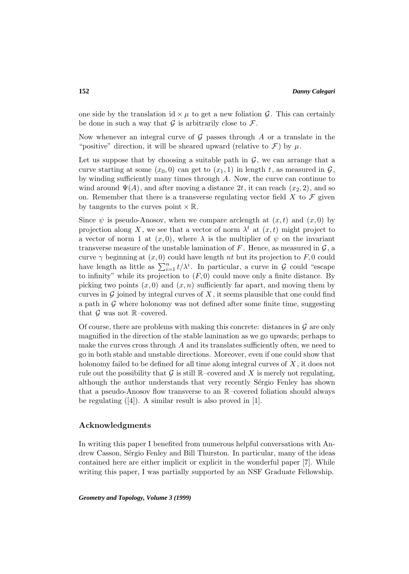one side by the translation id  $\times \mu$  to get a new foliation G. This can certainly be done in such a way that  $\mathcal G$  is arbitrarily close to  $\mathcal F$ .

Now whenever an integral curve of  $G$  passes through  $A$  or a translate in the "positive" direction, it will be sheared upward (relative to  $\mathcal{F}$ ) by  $\mu$ .

Let us suppose that by choosing a suitable path in  $\mathcal{G}$ , we can arrange that a curve starting at some  $(x_0, 0)$  can get to  $(x_1, 1)$  in length t, as measured in  $\mathcal{G}$ , by winding sufficiently many times through A. Now, the curve can continue to wind around  $\Psi(A)$ , and after moving a distance 2t, it can reach  $(x_2, 2)$ , and so on. Remember that there is a transverse regulating vector field  $X$  to  $\mathcal F$  given by tangents to the curves point  $\times \mathbb{R}$ .

Since  $\psi$  is pseudo-Anosov, when we compare arclength at  $(x, t)$  and  $(x, 0)$  by projection along X, we see that a vector of norm  $\lambda^t$  at  $(x, t)$  might project to a vector of norm 1 at  $(x, 0)$ , where  $\lambda$  is the multiplier of  $\psi$  on the invariant transverse measure of the unstable lamination of F. Hence, as measured in  $\mathcal{G}$ , a curve  $\gamma$  beginning at  $(x, 0)$  could have length nt but its projection to F, 0 could have length as little as  $\sum_{i=1}^{n} t/\lambda^i$ . In particular, a curve in  $\mathcal G$  could "escape to infinity" while its projection to  $(F, 0)$  could move only a finite distance. By picking two points  $(x, 0)$  and  $(x, n)$  sufficiently far apart, and moving them by curves in  $\mathcal G$  joined by integral curves of X, it seems plausible that one could find a path in  $\mathcal G$  where holonomy was not defined after some finite time, suggesting that  $\mathcal G$  was not  $\mathbb R$ –covered.

Of course, there are problems with making this concrete: distances in  $\mathcal G$  are only magnified in the direction of the stable lamination as we go upwards; perhaps to make the curves cross through  $A$  and its translates sufficiently often, we need to go in both stable and unstable directions. Moreover, even if one could show that holonomy failed to be defined for all time along integral curves of X, it does not rule out the possibility that  $\mathcal G$  is still  $\mathbb R$ –covered and X is merely not regulating, although the author understands that very recently Sérgio Fenley has shown that a pseudo-Anosov flow transverse to an R–covered foliation should always be regulating  $([4])$ . A similar result is also proved in [1].

### **Acknowledgments**

In writing this paper I benefited from numerous helpful conversations with Andrew Casson, Sérgio Fenley and Bill Thurston. In particular, many of the ideas contained here are either implicit or explicit in the wonderful paper [7]. While writing this paper, I was partially supported by an NSF Graduate Fellowship.